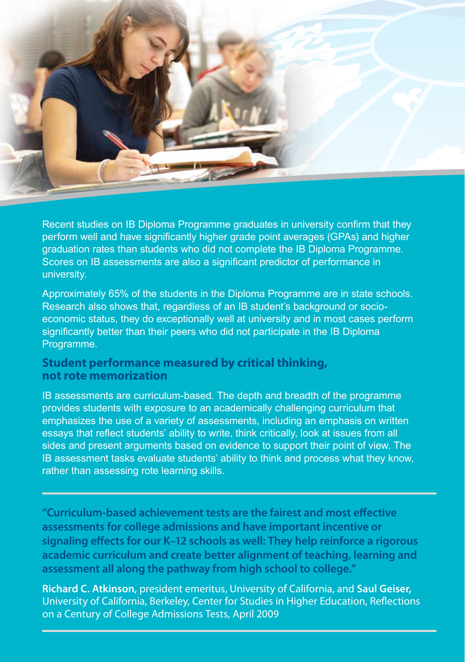

Recent studies on IB Diploma Programme graduates in university confirm that they perform well and have significantly higher grade point averages (GPAs) and higher graduation rates than students who did not complete the IB Diploma Programme. Scores on IB assessments are also a significant predictor of performance in university.

Approximately 65% of the students in the Diploma Programme are in state schools. Research also shows that, regardless of an IB student's background or socioeconomic status, they do exceptionally well at university and in most cases perform significantly better than their peers who did not participate in the IB Diploma Programme.

# **Student performance measured by critical thinking, not rote memorization**

IB assessments are curriculum-based. The depth and breadth of the programme provides students with exposure to an academically challenging curriculum that emphasizes the use of a variety of assessments, including an emphasis on written essays that reflect students' ability to write, think critically, look at issues from all sides and present arguments based on evidence to support their point of view. The IB assessment tasks evaluate students' ability to think and process what they know, rather than assessing rote learning skills.

**"Curriculum-based achievement tests are the fairest and most effective assessments for college admissions and have important incentive or signaling effects for our K–12 schools as well: They help reinforce a rigorous academic curriculum and create better alignment of teaching, learning and assessment all along the pathway from high school to college."**

**Richard C. Atkinson,** president emeritus, University of California, and **Saul Geiser,** University of California, Berkeley, Center for Studies in Higher Education, Reflections on a Century of College Admissions Tests, April 2009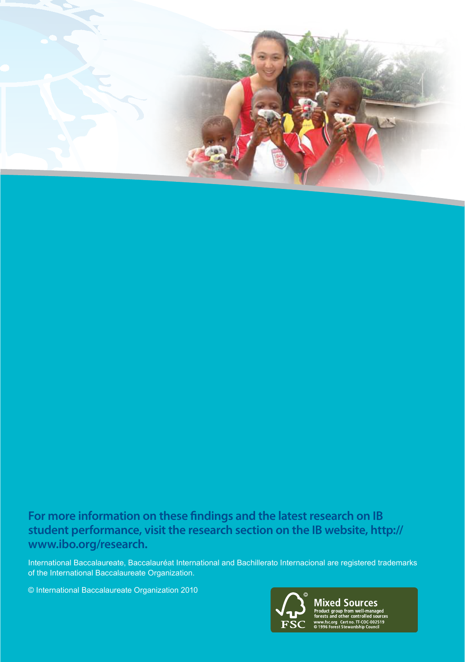

# **For more information on these findings and the latest research on IB student performance, visit the research section on the IB website, http:// www.ibo.org/research.**

International Baccalaureate, Baccalauréat International and Bachillerato Internacional are registered trademarks of the International Baccalaureate Organization.

© International Baccalaureate Organization 2010



**Mixed Sources** Product group from well-mar<br>Sexects and other controlled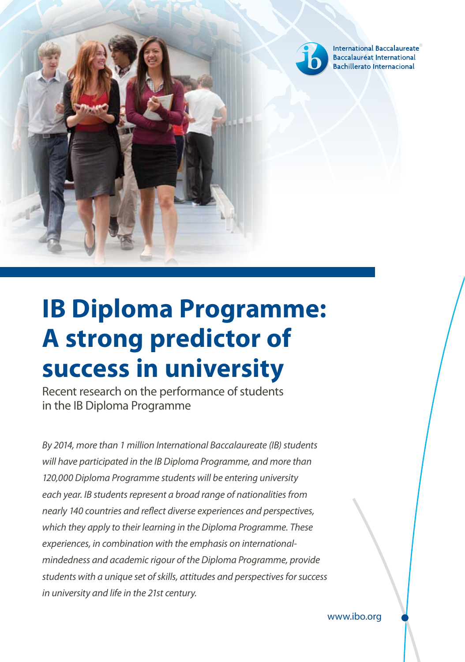

International Baccalaureate® Baccalauréat International **Bachillerato Internacional** 

# **IB Diploma Programme: A strong predictor of success in university**

Recent research on the performance of students in the IB Diploma Programme

*By 2014, more than 1 million International Baccalaureate (IB) students will have participated in the IB Diploma Programme, and more than 120,000 Diploma Programme students will be entering university each year. IB students represent a broad range of nationalities from nearly 140 countries and reflect diverse experiences and perspectives, which they apply to their learning in the Diploma Programme. These experiences, in combination with the emphasis on internationalmindedness and academic rigour of the Diploma Programme, provide students with a unique set of skills, attitudes and perspectives for success in university and life in the 21st century.*

www.ibo.org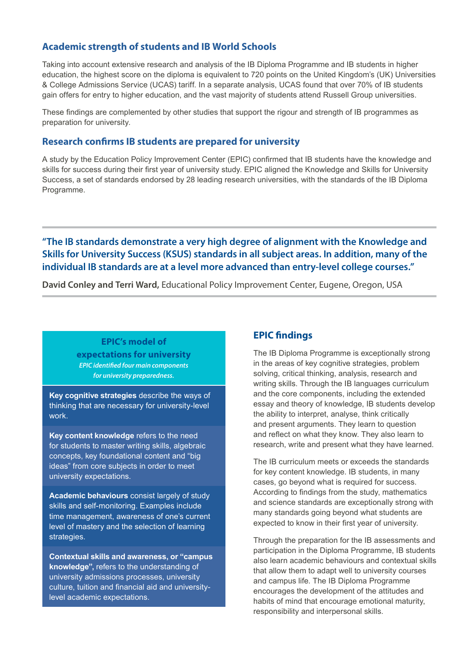# **Academic strength of students and IB World Schools**

Taking into account extensive research and analysis of the IB Diploma Programme and IB students in higher education, the highest score on the diploma is equivalent to 720 points on the United Kingdom's (UK) Universities & College Admissions Service (UCAS) tariff. In a separate analysis, UCAS found that over 70% of IB students gain offers for entry to higher education, and the vast majority of students attend Russell Group universities.

These findings are complemented by other studies that support the rigour and strength of IB programmes as preparation for university.

### **Research confirms IB students are prepared for university**

A study by the Education Policy Improvement Center (EPIC) confirmed that IB students have the knowledge and skills for success during their first year of university study. EPIC aligned the Knowledge and Skills for University Success, a set of standards endorsed by 28 leading research universities, with the standards of the IB Diploma Programme.

# **"The IB standards demonstrate a very high degree of alignment with the Knowledge and Skills for University Success (KSUS) standards in all subject areas. In addition, many of the individual IB standards are at a level more advanced than entry-level college courses."**

**David Conley and Terri Ward,** Educational Policy Improvement Center, Eugene, Oregon, USA

### **EPIC's model of expectations for university** *EPIC identified four main components for university preparedness.*

**Key cognitive strategies** describe the ways of thinking that are necessary for university-level work.

**Key content knowledge** refers to the need for students to master writing skills, algebraic concepts, key foundational content and "big ideas" from core subjects in order to meet university expectations.

**Academic behaviours** consist largely of study skills and self-monitoring. Examples include time management, awareness of one's current level of mastery and the selection of learning strategies.

**Contextual skills and awareness, or "campus knowledge",** refers to the understanding of university admissions processes, university culture, tuition and financial aid and universitylevel academic expectations.

# **EPIC findings**

The IB Diploma Programme is exceptionally strong in the areas of key cognitive strategies, problem solving, critical thinking, analysis, research and writing skills. Through the IB languages curriculum and the core components, including the extended essay and theory of knowledge, IB students develop the ability to interpret, analyse, think critically and present arguments. They learn to question and reflect on what they know. They also learn to research, write and present what they have learned.

The IB curriculum meets or exceeds the standards for key content knowledge. IB students, in many cases, go beyond what is required for success. According to findings from the study, mathematics and science standards are exceptionally strong with many standards going beyond what students are expected to know in their first year of university.

Through the preparation for the IB assessments and participation in the Diploma Programme, IB students also learn academic behaviours and contextual skills that allow them to adapt well to university courses and campus life. The IB Diploma Programme encourages the development of the attitudes and habits of mind that encourage emotional maturity, responsibility and interpersonal skills.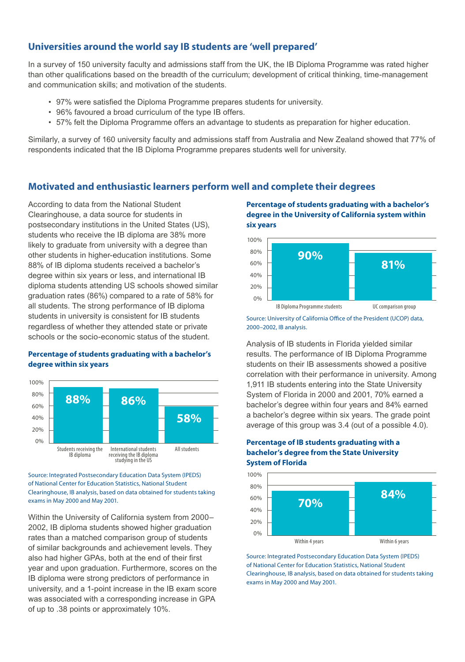# **Universities around the world say IB students are 'well prepared'**

In a survey of 150 university faculty and admissions staff from the UK, the IB Diploma Programme was rated higher than other qualifications based on the breadth of the curriculum; development of critical thinking, time-management and communication skills; and motivation of the students.

- 97% were satisfied the Diploma Programme prepares students for university.
- 96% favoured a broad curriculum of the type IB offers.
- 57% felt the Diploma Programme offers an advantage to students as preparation for higher education.

Similarly, a survey of 160 university faculty and admissions staff from Australia and New Zealand showed that 77% of respondents indicated that the IB Diploma Programme prepares students well for university.

# **Motivated and enthusiastic learners perform well and complete their degrees**

According to data from the National Student Clearinghouse, a data source for students in postsecondary institutions in the United States (US), students who receive the IB diploma are 38% more likely to graduate from university with a degree than other students in higher-education institutions. Some 88% of IB diploma students received a bachelor's degree within six years or less, and international IB diploma students attending US schools showed similar graduation rates (86%) compared to a rate of 58% for all students. The strong performance of IB diploma students in university is consistent for IB students regardless of whether they attended state or private schools or the socio-economic status of the student.

#### **Percentage of students graduating with a bachelor's degree within six years**



Source: Integrated Postsecondary Education Data System (IPEDS) of National Center for Education Statistics, National Student Clearinghouse, IB analysis, based on data obtained for students taking exams in May 2000 and May 2001.

Within the University of California system from 2000– 2002, IB diploma students showed higher graduation rates than a matched comparison group of students of similar backgrounds and achievement levels. They also had higher GPAs, both at the end of their first year and upon graduation. Furthermore, scores on the IB diploma were strong predictors of performance in university, and a 1-point increase in the IB exam score was associated with a corresponding increase in GPA of up to .38 points or approximately 10%.

#### **Percentage of students graduating with a bachelor's degree in the University of California system within six years**



Source: University of California Office of the President (UCOP) data, 2000–2002, IB analysis.

Analysis of IB students in Florida yielded similar results. The performance of IB Diploma Programme students on their IB assessments showed a positive correlation with their performance in university. Among 1,911 IB students entering into the State University System of Florida in 2000 and 2001, 70% earned a bachelor's degree within four years and 84% earned a bachelor's degree within six years. The grade point average of this group was 3.4 (out of a possible 4.0).

#### **Percentage of IB students graduating with a bachelor's degree from the State University System of Florida**



Source: Integrated Postsecondary Education Data System (IPEDS) of National Center for Education Statistics, National Student Clearinghouse, IB analysis, based on data obtained for students taking exams in May 2000 and May 2001.